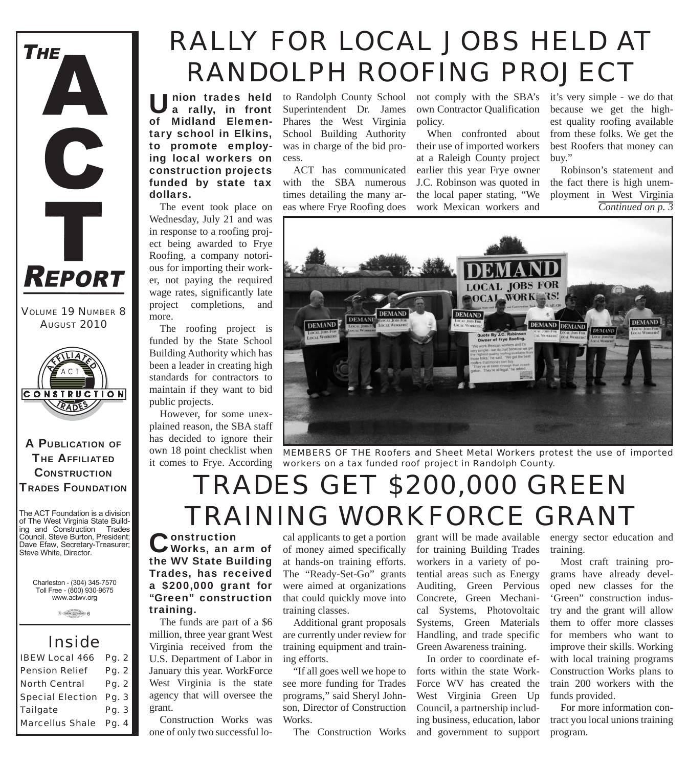

*VOLUME 19 NUMBER 8 AUGUST 2010*



A PUBLICATION OF **THE AFFILIATED CONSTRUCTION** TRADES FOUNDATION

The ACT Foundation is a division of The West Virginia State Building and Construction Trades Council. Steve Burton, President; Dave Efaw, Secretary-Treasurer; Steve White, Director.

Charleston - (304) 345-7570 Toll Free - (800) 930-9675 www.actwv.org

 $A$  (TRADES (WITH CONNECT)  $6$ 

#### *Inside*

| <b>IBEW Local 466</b>         | Pg. 2 |
|-------------------------------|-------|
| <b>Pension Relief</b>         | Pg. 2 |
| <b>North Central</b>          | Pg. 2 |
| <b>Special Election Pg. 3</b> |       |
| <b>Tailgate</b>               | Pg. 3 |
| <b>Marcellus Shale</b> Pg. 4  |       |

# *RALLY FOR LOCAL JOBS HELD AT RANDOLPH ROOFING PROJECT*

Union trades held<br>a rally, in front of Midland Elementary school in Elkins, to promote employing local workers on construction projects funded by state tax dollars.

The event took place on Wednesday, July 21 and was in response to a roofing project being awarded to Frye Roofing, a company notorious for importing their worker, not paying the required wage rates, significantly late project completions, and more.

The roofing project is funded by the State School Building Authority which has been a leader in creating high standards for contractors to maintain if they want to bid public projects.

However, for some unexplained reason, the SBA staff has decided to ignore their own 18 point checklist when it comes to Frye. According

**nion trades held** to Randolph County School Superintendent Dr. James Phares the West Virginia School Building Authority was in charge of the bid process.

> ACT has communicated with the SBA numerous times detailing the many areas where Frye Roofing does

not comply with the SBA's own Contractor Qualification policy.

When confronted about their use of imported workers at a Raleigh County project earlier this year Frye owner J.C. Robinson was quoted in the local paper stating, "We work Mexican workers and

it's very simple - we do that because we get the highest quality roofing available from these folks. We get the best Roofers that money can buy."

Robinson's statement and the fact there is high unemployment in West Virginia *Continued on p. 3*



*MEMBERS OF THE Roofers and Sheet Metal Workers protest the use of imported workers on a tax funded roof project in Randolph County.*

# *TRADES GET \$200,000 GREEN TRAINING WORKFORCE GRANT*

Construction<br>Works, an arm of the WV State Building Trades, has received a \$200,000 grant for "Green" construction training.

The funds are part of a \$6 million, three year grant West Virginia received from the U.S. Department of Labor in January this year. WorkForce West Virginia is the state agency that will oversee the grant.

Construction Works was one of only two successful local applicants to get a portion of money aimed specifically at hands-on training efforts. The "Ready-Set-Go" grants were aimed at organizations that could quickly move into training classes.

Additional grant proposals are currently under review for training equipment and training efforts.

"If all goes well we hope to see more funding for Trades programs," said Sheryl Johnson, Director of Construction Works.

The Construction Works

grant will be made available for training Building Trades workers in a variety of potential areas such as Energy Auditing, Green Pervious Concrete, Green Mechanical Systems, Photovoltaic Systems, Green Materials Handling, and trade specific Green Awareness training.

In order to coordinate efforts within the state Work-Force WV has created the West Virginia Green Up Council, a partnership including business, education, labor and government to support

energy sector education and training.

Most craft training programs have already developed new classes for the 'Green" construction industry and the grant will allow them to offer more classes for members who want to improve their skills. Working with local training programs Construction Works plans to train 200 workers with the funds provided.

For more information contract you local unions training program.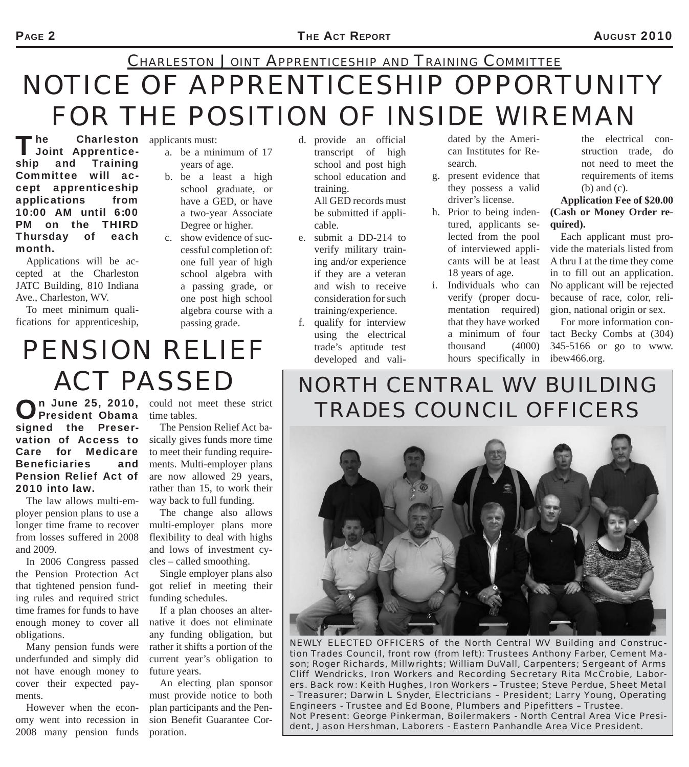## *NOTICE OF APPRENTICESHIP OPPORTUNITY FOR THE POSITION OF INSIDE WIREMAN CHARLESTON JOINT APPRENTICESHIP AND TRAINING COMMITTEE*

The Charleston<br>
Joint Apprenticeship and Training Committee will accept apprenticeship applications from 10:00 AM until 6:00 PM on the THIRD Thursday of each month. **Charleston** applicants must:

Applications will be accepted at the Charleston JATC Building, 810 Indiana Ave., Charleston, WV.

To meet minimum qualifications for apprenticeship,

- a. be a minimum of 17 years of age.
- b. be a least a high school graduate, or have a GED, or have a two-year Associate Degree or higher.
- c. show evidence of successful completion of: one full year of high school algebra with a passing grade, or one post high school algebra course with a passing grade.

d. provide an official transcript of high school and post high school education and training. All GED records must be submitted if applicable.

- e. submit a DD-214 to verify military training and/or experience if they are a veteran and wish to receive consideration for such training/experience.
- f. qualify for interview using the electrical trade's aptitude test developed and vali-

dated by the American Institutes for Research.

- g. present evidence that they possess a valid driver's license.
- h. Prior to being indentured, applicants selected from the pool of interviewed applicants will be at least 18 years of age.
- i. Individuals who can verify (proper documentation required) that they have worked a minimum of four thousand (4000) hours specifically in

the electrical construction trade, do not need to meet the requirements of items (b) and (c).

**Application Fee of \$20.00 (Cash or Money Order required).**

Each applicant must provide the materials listed from A thru I at the time they come in to fill out an application. No applicant will be rejected because of race, color, religion, national origin or sex.

For more information contact Becky Combs at (304) 345-5166 or go to www. ibew466.org.

*PENSION RELIEF ACT PASSED*

On June 25, 2010, could not meet these strict<br>
President Obama time tables. President Obama signed the Preservation of Access to Care for Medicare Beneficiaries and Pension Relief Act of 2010 into law.

The law allows multi-employer pension plans to use a longer time frame to recover from losses suffered in 2008 and 2009.

In 2006 Congress passed the Pension Protection Act that tightened pension funding rules and required strict time frames for funds to have enough money to cover all obligations.

Many pension funds were underfunded and simply did not have enough money to cover their expected payments.

However when the economy went into recession in 2008 many pension funds time tables.

The Pension Relief Act basically gives funds more time to meet their funding requirements. Multi-employer plans are now allowed 29 years, rather than 15, to work their way back to full funding.

The change also allows multi-employer plans more flexibility to deal with highs and lows of investment cycles – called smoothing.

Single employer plans also got relief in meeting their funding schedules.

If a plan chooses an alternative it does not eliminate any funding obligation, but rather it shifts a portion of the current year's obligation to future years.

An electing plan sponsor must provide notice to both plan participants and the Pension Benefit Guarantee Corporation.

## *NORTH CENTRAL WV BUILDING TRADES COUNCIL OFFICERS*



*NEWLY ELECTED OFFICERS of the North Central WV Building and Construction Trades Council, front row (from left): Trustees Anthony Farber, Cement Mason; Roger Richards, Millwrights; William DuVall, Carpenters; Sergeant of Arms Cliff Wendricks, Iron Workers and Recording Secretary Rita McCrobie, Laborers. Back row: Keith Hughes, Iron Workers – Trustee; Steve Perdue, Sheet Metal – Treasurer; Darwin L Snyder, Electricians – President; Larry Young, Operating Engineers - Trustee and Ed Boone, Plumbers and Pipefitters – Trustee. Not Present: George Pinkerman, Boilermakers - North Central Area Vice President, Jason Hershman, Laborers - Eastern Panhandle Area Vice President.*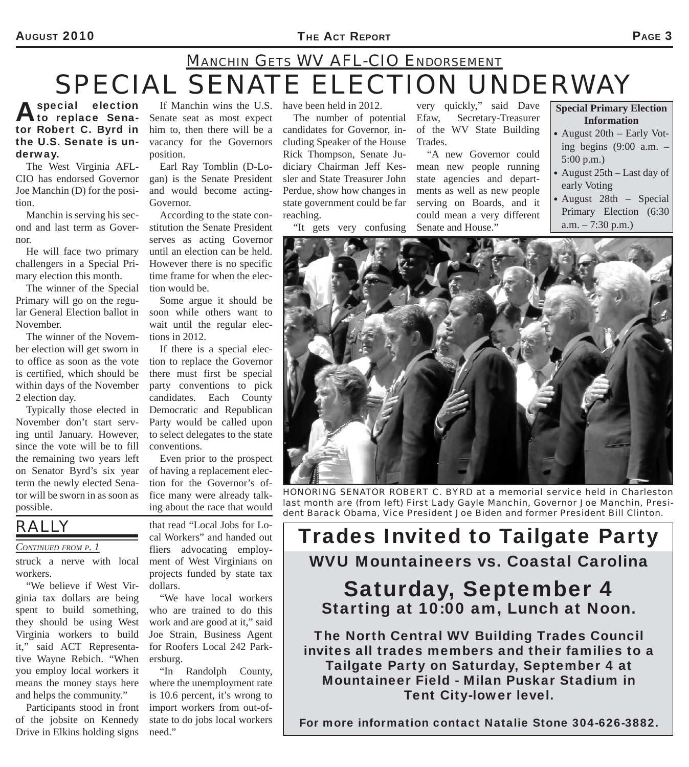#### AUGUST 2010 **PAGE 3**

# *SPECIAL SENATE ELECTION UNDERWAY*<br>special election If Manchin wins the U.S. have been held in 2012. very quickly," said Dave *Special Primary El MANCHIN GETS WV AFL-CIO ENDORSEMENT*

#### A special election<br>
to replace Senator Robert C. Byrd in the U.S. Senate is underway.

The West Virginia AFL-CIO has endorsed Governor Joe Manchin (D) for the position.

Manchin is serving his second and last term as Governor.

He will face two primary challengers in a Special Primary election this month.

The winner of the Special Primary will go on the regular General Election ballot in November.

The winner of the November election will get sworn in to office as soon as the vote is certified, which should be within days of the November 2 election day.

Typically those elected in November don't start serving until January. However, since the vote will be to fill the remaining two years left on Senator Byrd's six year term the newly elected Senator will be sworn in as soon as possible.

If Manchin wins the U.S. have been held in 2012. Senate seat as most expect him to, then there will be a vacancy for the Governors position.

Earl Ray Tomblin (D-Logan) is the Senate President and would become acting-Governor.

According to the state constitution the Senate President serves as acting Governor until an election can be held. However there is no specific time frame for when the election would be.

Some argue it should be soon while others want to wait until the regular elections in 2012.

If there is a special election to replace the Governor there must first be special party conventions to pick candidates. Each County Democratic and Republican Party would be called upon to select delegates to the state conventions.

Even prior to the prospect of having a replacement election for the Governor's office many were already talking about the race that would

*RALLY* 

struck a nerve with local workers.

"We believe if West Virginia tax dollars are being spent to build something, they should be using West Virginia workers to build it," said ACT Representative Wayne Rebich. "When you employ local workers it means the money stays here and helps the community."

Participants stood in front of the jobsite on Kennedy Drive in Elkins holding signs that read "Local Jobs for Local Workers" and handed out fliers advocating employ-

ment of West Virginians on projects funded by state tax dollars.

"We have local workers who are trained to do this work and are good at it," said Joe Strain, Business Agent for Roofers Local 242 Parkersburg.

"In Randolph County, where the unemployment rate is 10.6 percent, it's wrong to import workers from out-ofstate to do jobs local workers need."

The number of potential candidates for Governor, including Speaker of the House Rick Thompson, Senate Judiciary Chairman Jeff Kessler and State Treasurer John Perdue, show how changes in state government could be far reaching.

"It gets very confusing

very quickly," said Dave Efaw, Secretary-Treasurer of the WV State Building Trades.

"A new Governor could mean new people running state agencies and departments as well as new people serving on Boards, and it could mean a very different Senate and House."

**Special Primary Election Information**

- August 20th Early Voting begins (9:00 a.m. – 5:00 p.m.)
- August 25th Last day of early Voting
- August 28th Special Primary Election (6:30 a.m. – 7:30 p.m.)



*HONORING SENATOR ROBERT C. BYRD at a memorial service held in Charleston last month are (from left) First Lady Gayle Manchin, Governor Joe Manchin, President Barack Obama, Vice President Joe Biden and former President Bill Clinton.*

### *CONTINUED FROM P. 1* Cal Workers" and handed out **Frades Invited to Tailgate Party** WVU Mountaineers vs. Coastal Carolina Saturday, September 4 Starting at 10:00 am, Lunch at Noon.

The North Central WV Building Trades Council invites all trades members and their families to a Tailgate Party on Saturday, September 4 at Mountaineer Field - Milan Puskar Stadium in Tent City-lower level.

For more information contact Natalie Stone 304-626-3882.